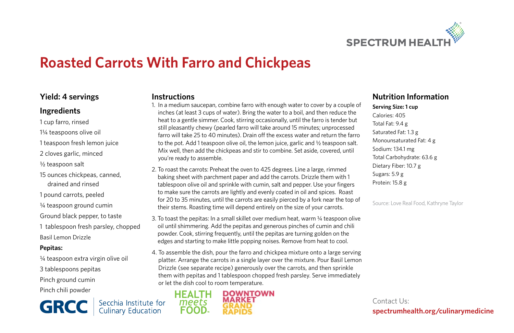

# **Roasted Carrots With Farro and Chickpeas**

#### **Yield: 4 servings**

#### **Ingredients**

- 1 cup farro, rinsed
- 1¼ teaspoons olive oil
- 1 teaspoon fresh lemon juice
- 2 cloves garlic, minced
- 1/<sub>2</sub> teaspoon salt
- 15 ounces chickpeas, canned, drained and rinsed
- 1 pound carrots, peeled
- ¼ teaspoon ground cumin
- Ground black pepper, to taste
- 1 tablespoon fresh parsley, chopped
- Basil Lemon Drizzle

#### **Pepitas:**

¼ teaspoon extra virgin olive oil 3 tablespoons pepitas Pinch ground cumin Pinch chili powder

**GRCC** 

Secchia Institute for<br>Culinary Education



1. In a medium saucepan, combine farro with enough water to cover by a couple of inches (at least 3 cups of water). Bring the water to a boil, and then reduce the heat to a gentle simmer. Cook, stirring occasionally, until the farro is tender but still pleasantly chewy (pearled farro will take around 15 minutes; unprocessed farro will take 25 to 40 minutes). Drain off the excess water and return the farro to the pot. Add 1 teaspoon olive oil, the lemon juice, garlic and ½ teaspoon salt. Mix well, then add the chickpeas and stir to combine. Set aside, covered, until you're ready to assemble.

- 2. To roast the carrots: Preheat the oven to 425 degrees. Line a large, rimmed baking sheet with parchment paper and add the carrots. Drizzle them with 1 tablespoon olive oil and sprinkle with cumin, salt and pepper. Use your fingers to make sure the carrots are lightly and evenly coated in oil and spices. Roast for 20 to 35 minutes, until the carrots are easily pierced by a fork near the top of their stems. Roasting time will depend entirely on the size of your carrots.
- 3. To toast the pepitas: In a small skillet over medium heat, warm ¼ teaspoon olive oil until shimmering. Add the pepitas and generous pinches of cumin and chili powder. Cook, stirring frequently, until the pepitas are turning golden on the edges and starting to make little popping noises. Remove from heat to cool.
- 4. To assemble the dish, pour the farro and chickpea mixture onto a large serving platter. Arrange the carrots in a single layer over the mixture. Pour Basil Lemon Drizzle (see separate recipe) generously over the carrots, and then sprinkle them with pepitas and 1 tablespoon chopped fresh parsley. Serve immediately or let the dish cool to room temperature.



### **Nutrition Information**

**Serving Size: 1 cup** Calories: 405 Total Fat: 9.4 g Saturated Fat: 1.3 g Monounsaturated Fat: 4 g Sodium: 134.1 mg Total Carbohydrate: 63.6 g Dietary Fiber: 10.7 g Sugars: 5.9 g Protein: 15.8 g

Source: Love Real Food, Kathryne Taylor

Contact Us: **spectrumhealth.org/culinarymedicine**